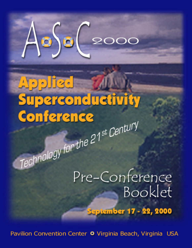

# **Paricel** Superconductivity Conference Technology for the 21<sup>st</sup> Century

Pre-Conference Booklet

**September 17 - 22, 2000** 

Pavilion Convention Center <sup>o</sup> Virginia Beach, Virginia USA